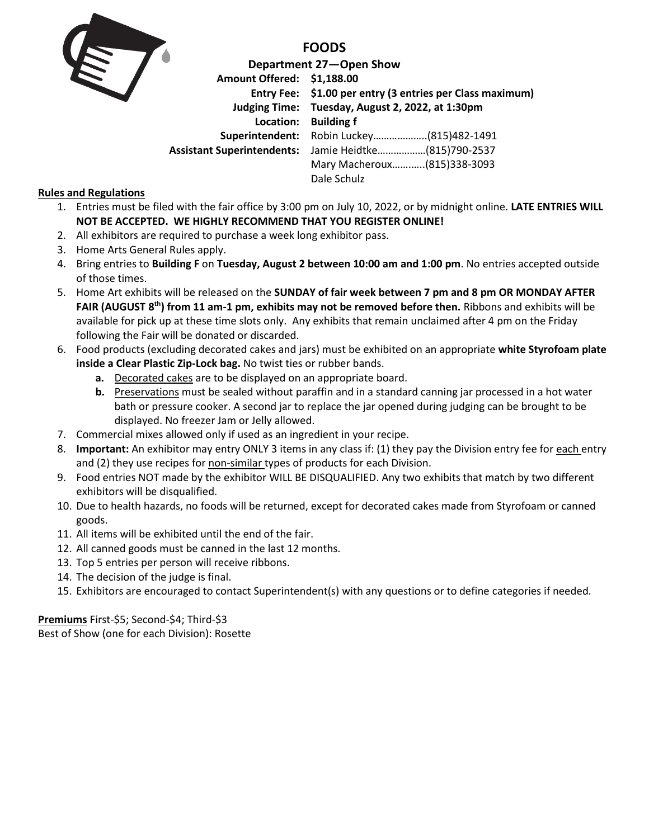

**FOODS**

**Department 27—Open Show Amount Offered: \$1,188.00 Entry Fee: \$1.00 per entry (3 entries per Class maximum) Judging Time: Tuesday, August 2, 2022, at 1:30pm Location: Building f Superintendent:** Robin Luckey………………..(815)482-1491 **Assistant Superintendents:** Jamie Heidtke………………(815)790-2537 Mary Macheroux…….…..(815)338-3093 Dale Schulz

## **Rules and Regulations**

- 1. Entries must be filed with the fair office by 3:00 pm on July 10, 2022, or by midnight online. **LATE ENTRIES WILL NOT BE ACCEPTED. WE HIGHLY RECOMMEND THAT YOU REGISTER ONLINE!**
- 2. All exhibitors are required to purchase a week long exhibitor pass.
- 3. Home Arts General Rules apply.
- 4. Bring entries to **Building F** on **Tuesday, August 2 between 10:00 am and 1:00 pm**. No entries accepted outside of those times.
- 5. Home Art exhibits will be released on the **SUNDAY of fair week between 7 pm and 8 pm OR MONDAY AFTER FAIR (AUGUST 8 th) from 11 am-1 pm, exhibits may not be removed before then.** Ribbons and exhibits will be available for pick up at these time slots only. Any exhibits that remain unclaimed after 4 pm on the Friday following the Fair will be donated or discarded.
- 6. Food products (excluding decorated cakes and jars) must be exhibited on an appropriate **white Styrofoam plate inside a Clear Plastic Zip-Lock bag.** No twist ties or rubber bands.
	- **a.** Decorated cakes are to be displayed on an appropriate board.
	- **b.** Preservations must be sealed without paraffin and in a standard canning jar processed in a hot water bath or pressure cooker. A second jar to replace the jar opened during judging can be brought to be displayed. No freezer Jam or Jelly allowed.
- 7. Commercial mixes allowed only if used as an ingredient in your recipe.
- 8. **Important:** An exhibitor may entry ONLY 3 items in any class if: (1) they pay the Division entry fee for each entry and (2) they use recipes for non-similar types of products for each Division.
- 9. Food entries NOT made by the exhibitor WILL BE DISQUALIFIED. Any two exhibits that match by two different exhibitors will be disqualified.
- 10. Due to health hazards, no foods will be returned, except for decorated cakes made from Styrofoam or canned goods.
- 11. All items will be exhibited until the end of the fair.
- 12. All canned goods must be canned in the last 12 months.
- 13. Top 5 entries per person will receive ribbons.
- 14. The decision of the judge is final.
- 15. Exhibitors are encouraged to contact Superintendent(s) with any questions or to define categories if needed.

**Premiums** First-\$5; Second-\$4; Third-\$3

Best of Show (one for each Division): Rosette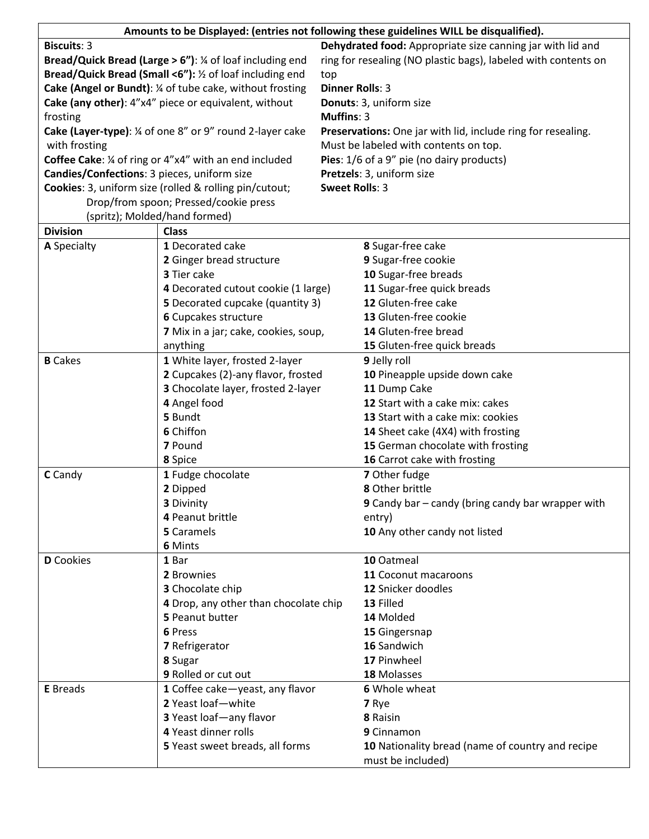| Amounts to be Displayed: (entries not following these guidelines WILL be disqualified). |                                                        |                                                            |                                                                |  |  |  |
|-----------------------------------------------------------------------------------------|--------------------------------------------------------|------------------------------------------------------------|----------------------------------------------------------------|--|--|--|
| <b>Biscuits: 3</b>                                                                      |                                                        | Dehydrated food: Appropriate size canning jar with lid and |                                                                |  |  |  |
| Bread/Quick Bread (Large $> 6$ "): $\frac{1}{4}$ of loaf including end                  |                                                        |                                                            | ring for resealing (NO plastic bags), labeled with contents on |  |  |  |
| Bread/Quick Bread (Small <6"): 1/2 of loaf including end                                |                                                        |                                                            | top                                                            |  |  |  |
| Cake (Angel or Bundt): 1/4 of tube cake, without frosting                               |                                                        |                                                            | <b>Dinner Rolls: 3</b>                                         |  |  |  |
|                                                                                         | Cake (any other): 4"x4" piece or equivalent, without   |                                                            | Donuts: 3, uniform size                                        |  |  |  |
| frosting                                                                                |                                                        | <b>Muffins: 3</b>                                          |                                                                |  |  |  |
| Cake (Layer-type): 1/4 of one 8" or 9" round 2-layer cake                               |                                                        |                                                            | Preservations: One jar with lid, include ring for resealing.   |  |  |  |
| with frosting                                                                           |                                                        |                                                            | Must be labeled with contents on top.                          |  |  |  |
| <b>Coffee Cake:</b> 1/4 of ring or 4"x4" with an end included                           |                                                        |                                                            | Pies: 1/6 of a 9" pie (no dairy products)                      |  |  |  |
| Candies/Confections: 3 pieces, uniform size                                             |                                                        |                                                            | Pretzels: 3, uniform size                                      |  |  |  |
|                                                                                         | Cookies: 3, uniform size (rolled & rolling pin/cutout; | <b>Sweet Rolls: 3</b>                                      |                                                                |  |  |  |
|                                                                                         | Drop/from spoon; Pressed/cookie press                  |                                                            |                                                                |  |  |  |
|                                                                                         | (spritz); Molded/hand formed)                          |                                                            |                                                                |  |  |  |
| <b>Division</b>                                                                         | <b>Class</b>                                           |                                                            |                                                                |  |  |  |
| A Specialty                                                                             | 1 Decorated cake                                       |                                                            | 8 Sugar-free cake                                              |  |  |  |
|                                                                                         | 2 Ginger bread structure                               |                                                            | 9 Sugar-free cookie                                            |  |  |  |
|                                                                                         | 3 Tier cake                                            |                                                            | 10 Sugar-free breads                                           |  |  |  |
|                                                                                         | 4 Decorated cutout cookie (1 large)                    |                                                            | 11 Sugar-free quick breads                                     |  |  |  |
|                                                                                         | 5 Decorated cupcake (quantity 3)                       |                                                            | 12 Gluten-free cake                                            |  |  |  |
|                                                                                         | 6 Cupcakes structure                                   |                                                            | 13 Gluten-free cookie                                          |  |  |  |
|                                                                                         | 7 Mix in a jar; cake, cookies, soup,                   |                                                            | 14 Gluten-free bread                                           |  |  |  |
|                                                                                         | anything                                               |                                                            | 15 Gluten-free quick breads                                    |  |  |  |
| <b>B</b> Cakes                                                                          | 1 White layer, frosted 2-layer                         |                                                            | 9 Jelly roll                                                   |  |  |  |
|                                                                                         | 2 Cupcakes (2)-any flavor, frosted                     |                                                            | 10 Pineapple upside down cake                                  |  |  |  |
|                                                                                         | 3 Chocolate layer, frosted 2-layer                     |                                                            | 11 Dump Cake                                                   |  |  |  |
|                                                                                         | 4 Angel food                                           |                                                            | 12 Start with a cake mix: cakes                                |  |  |  |
|                                                                                         | 5 Bundt                                                |                                                            | <b>13</b> Start with a cake mix: cookies                       |  |  |  |
|                                                                                         | 6 Chiffon                                              |                                                            | 14 Sheet cake (4X4) with frosting                              |  |  |  |
|                                                                                         | 7 Pound                                                |                                                            | 15 German chocolate with frosting                              |  |  |  |
|                                                                                         | 8 Spice                                                |                                                            | 16 Carrot cake with frosting                                   |  |  |  |
| C Candy                                                                                 | 1 Fudge chocolate                                      |                                                            | 7 Other fudge                                                  |  |  |  |
|                                                                                         | 2 Dipped                                               |                                                            | 8 Other brittle                                                |  |  |  |
|                                                                                         | 3 Divinity                                             |                                                            | 9 Candy bar - candy (bring candy bar wrapper with              |  |  |  |
|                                                                                         | 4 Peanut brittle                                       |                                                            | entry)                                                         |  |  |  |
|                                                                                         | 5 Caramels                                             |                                                            | 10 Any other candy not listed                                  |  |  |  |
|                                                                                         | 6 Mints                                                |                                                            |                                                                |  |  |  |
| <b>D</b> Cookies                                                                        | 1 Bar                                                  |                                                            | 10 Oatmeal                                                     |  |  |  |
|                                                                                         | 2 Brownies                                             |                                                            | 11 Coconut macaroons                                           |  |  |  |
|                                                                                         | 3 Chocolate chip                                       |                                                            | 12 Snicker doodles                                             |  |  |  |
|                                                                                         | 4 Drop, any other than chocolate chip                  |                                                            | 13 Filled                                                      |  |  |  |
|                                                                                         | 5 Peanut butter                                        |                                                            | 14 Molded                                                      |  |  |  |
|                                                                                         | 6 Press                                                |                                                            | 15 Gingersnap                                                  |  |  |  |
|                                                                                         | 7 Refrigerator                                         |                                                            | 16 Sandwich                                                    |  |  |  |
|                                                                                         | 8 Sugar                                                |                                                            | 17 Pinwheel                                                    |  |  |  |
|                                                                                         | 9 Rolled or cut out                                    |                                                            | 18 Molasses                                                    |  |  |  |
| <b>E</b> Breads                                                                         | 1 Coffee cake-yeast, any flavor                        |                                                            | 6 Whole wheat                                                  |  |  |  |
|                                                                                         | 2 Yeast loaf-white                                     |                                                            | 7 Rye                                                          |  |  |  |
|                                                                                         | 3 Yeast loaf-any flavor                                |                                                            | 8 Raisin                                                       |  |  |  |
|                                                                                         | 4 Yeast dinner rolls                                   |                                                            | 9 Cinnamon                                                     |  |  |  |
|                                                                                         | 5 Yeast sweet breads, all forms                        |                                                            | 10 Nationality bread (name of country and recipe               |  |  |  |
|                                                                                         |                                                        |                                                            | must be included)                                              |  |  |  |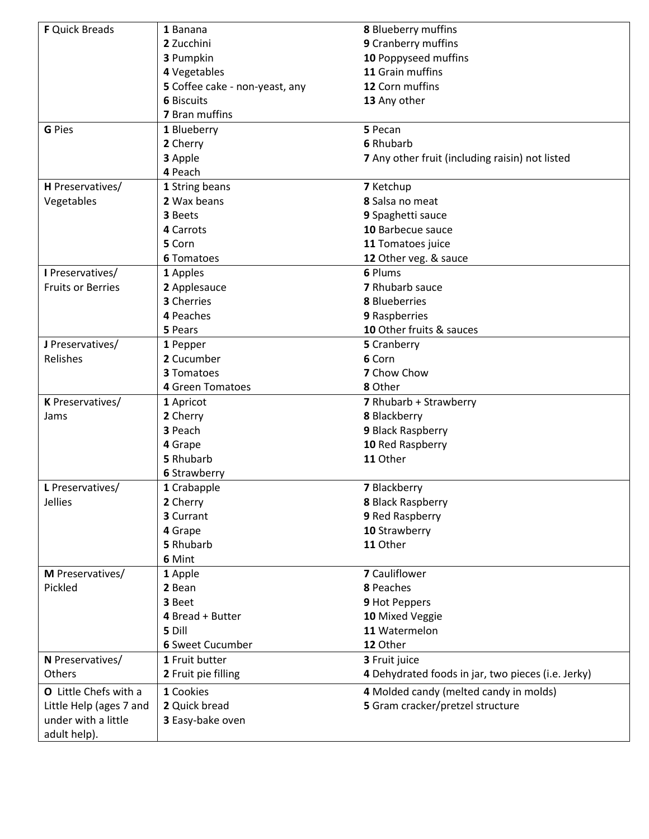| <b>F</b> Quick Breads    | 1 Banana                          | 8 Blueberry muffins                                |  |  |
|--------------------------|-----------------------------------|----------------------------------------------------|--|--|
|                          | 2 Zucchini<br>9 Cranberry muffins |                                                    |  |  |
|                          | 3 Pumpkin                         | 10 Poppyseed muffins                               |  |  |
|                          | 4 Vegetables                      | 11 Grain muffins                                   |  |  |
|                          | 5 Coffee cake - non-yeast, any    | 12 Corn muffins                                    |  |  |
|                          | <b>6 Biscuits</b>                 | 13 Any other                                       |  |  |
|                          | 7 Bran muffins                    |                                                    |  |  |
| <b>G</b> Pies            | 1 Blueberry                       | 5 Pecan                                            |  |  |
|                          | 2 Cherry                          | 6 Rhubarb                                          |  |  |
|                          | 3 Apple                           | 7 Any other fruit (including raisin) not listed    |  |  |
|                          | 4 Peach                           |                                                    |  |  |
| H Preservatives/         | 1 String beans                    | 7 Ketchup                                          |  |  |
| Vegetables               | 2 Wax beans                       | 8 Salsa no meat                                    |  |  |
|                          | 3 Beets                           | 9 Spaghetti sauce                                  |  |  |
|                          | 4 Carrots                         | 10 Barbecue sauce                                  |  |  |
|                          | 5 Corn                            | 11 Tomatoes juice                                  |  |  |
|                          | <b>6 Tomatoes</b>                 | 12 Other veg. & sauce                              |  |  |
| I Preservatives/         | 1 Apples                          | 6 Plums                                            |  |  |
| <b>Fruits or Berries</b> | 2 Applesauce                      | 7 Rhubarb sauce                                    |  |  |
|                          | 3 Cherries                        | <b>8</b> Blueberries                               |  |  |
|                          | 4 Peaches                         | 9 Raspberries                                      |  |  |
|                          | 5 Pears                           | 10 Other fruits & sauces                           |  |  |
| J Preservatives/         | 1 Pepper                          | 5 Cranberry                                        |  |  |
| Relishes                 | 2 Cucumber                        | 6 Corn                                             |  |  |
|                          | <b>3 Tomatoes</b>                 | 7 Chow Chow                                        |  |  |
|                          | 4 Green Tomatoes                  | 8 Other                                            |  |  |
| K Preservatives/         | 1 Apricot                         | 7 Rhubarb + Strawberry                             |  |  |
| Jams                     | 2 Cherry                          | 8 Blackberry                                       |  |  |
|                          | 3 Peach                           | 9 Black Raspberry                                  |  |  |
|                          | 4 Grape                           | 10 Red Raspberry                                   |  |  |
|                          | 5 Rhubarb                         | 11 Other                                           |  |  |
|                          | <b>6 Strawberry</b>               |                                                    |  |  |
| L Preservatives/         | 1 Crabapple                       | 7 Blackberry                                       |  |  |
| Jellies                  | 2 Cherry                          | 8 Black Raspberry                                  |  |  |
|                          | 3 Currant                         | 9 Red Raspberry                                    |  |  |
|                          | 4 Grape                           | 10 Strawberry                                      |  |  |
|                          | 5 Rhubarb                         | 11 Other                                           |  |  |
|                          | 6 Mint                            |                                                    |  |  |
| M Preservatives/         | 1 Apple                           | <b>7</b> Cauliflower                               |  |  |
| Pickled                  | 2 Bean                            | 8 Peaches                                          |  |  |
|                          | 3 Beet                            | 9 Hot Peppers                                      |  |  |
|                          | 4 Bread + Butter                  | 10 Mixed Veggie                                    |  |  |
|                          | 5 Dill                            | 11 Watermelon                                      |  |  |
|                          | <b>6 Sweet Cucumber</b>           | 12 Other                                           |  |  |
| N Preservatives/         | 1 Fruit butter                    | 3 Fruit juice                                      |  |  |
| Others                   | 2 Fruit pie filling               | 4 Dehydrated foods in jar, two pieces (i.e. Jerky) |  |  |
|                          |                                   |                                                    |  |  |
| O Little Chefs with a    | 1 Cookies                         | 4 Molded candy (melted candy in molds)             |  |  |
| Little Help (ages 7 and  | 2 Quick bread                     | 5 Gram cracker/pretzel structure                   |  |  |
| under with a little      | 3 Easy-bake oven                  |                                                    |  |  |
| adult help).             |                                   |                                                    |  |  |